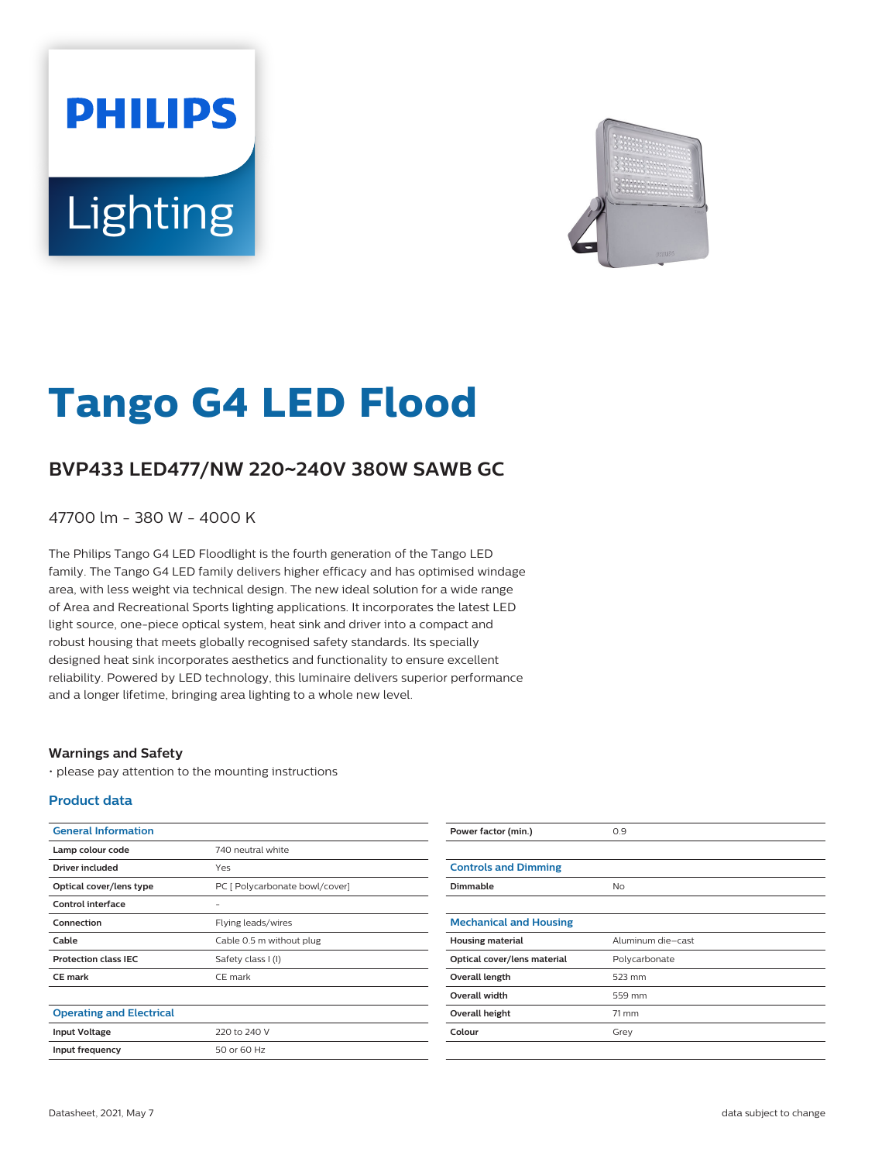# **PHILIPS** Lighting



# **Tango G4 LED Flood**

## **BVP433 LED477/NW 220**~**240V 380W SAWB GC**

47700 lm - 380 W - 4000 K

The Philips Tango G4 LED Floodlight is the fourth generation of the Tango LED family. The Tango G4 LED family delivers higher efficacy and has optimised windage area, with less weight via technical design. The new ideal solution for a wide range of Area and Recreational Sports lighting applications. It incorporates the latest LED light source, one-piece optical system, heat sink and driver into a compact and robust housing that meets globally recognised safety standards. Its specially designed heat sink incorporates aesthetics and functionality to ensure excellent reliability. Powered by LED technology, this luminaire delivers superior performance and a longer lifetime, bringing area lighting to a whole new level.

#### **Warnings and Safety**

• please pay attention to the mounting instructions

#### **Product data**

| <b>General Information</b>      |                                | Power factor (min.)           | 0.9               |
|---------------------------------|--------------------------------|-------------------------------|-------------------|
| Lamp colour code                | 740 neutral white              |                               |                   |
| <b>Driver included</b>          | Yes                            | <b>Controls and Dimming</b>   |                   |
| Optical cover/lens type         | PC [ Polycarbonate bowl/cover] | Dimmable                      | <b>No</b>         |
| Control interface               | $\overline{\phantom{a}}$       |                               |                   |
| Connection                      | Flying leads/wires             | <b>Mechanical and Housing</b> |                   |
| Cable                           | Cable 0.5 m without plug       | <b>Housing material</b>       | Aluminum die-cast |
| <b>Protection class IEC</b>     | Safety class I (I)             | Optical cover/lens material   | Polycarbonate     |
| <b>CE</b> mark                  | CE mark                        | Overall length                | 523 mm            |
|                                 |                                | Overall width                 | 559 mm            |
| <b>Operating and Electrical</b> |                                | Overall height                | 71 mm             |
| <b>Input Voltage</b>            | 220 to 240 V                   | Colour                        | Grey              |
| Input frequency                 | 50 or 60 Hz                    |                               |                   |
|                                 |                                |                               |                   |